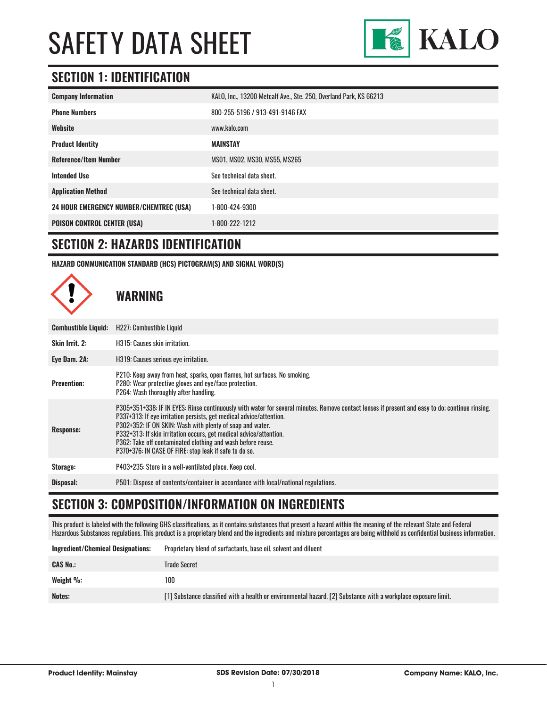

### **SECTION 1: IDENTIFICATION**

| <b>Company Information</b>                     | KALO, Inc., 13200 Metcalf Ave., Ste. 250, Overland Park, KS 66213 |
|------------------------------------------------|-------------------------------------------------------------------|
| <b>Phone Numbers</b>                           | 800-255-5196 / 913-491-9146 FAX                                   |
| Website                                        | www.kalo.com                                                      |
| <b>Product Identity</b>                        | MAINSTAY                                                          |
| <b>Reference/Item Number</b>                   | MS01, MS02, MS30, MS55, MS265                                     |
| <b>Intended Use</b>                            | See technical data sheet.                                         |
| <b>Application Method</b>                      | See technical data sheet.                                         |
| <b>24 HOUR EMERGENCY NUMBER/CHEMTREC (USA)</b> | 1-800-424-9300                                                    |
| <b>POISON CONTROL CENTER (USA)</b>             | 1-800-222-1212                                                    |

#### **SECTION 2: HAZARDS IDENTIFICATION**

**HAZARD COMMUNICATION STANDARD (HCS) PICTOGRAM(S) AND SIGNAL WORD(S)**



#### **SECTION 3: COMPOSITION/INFORMATION ON INGREDIENTS**

This product is labeled with the following GHS classifications, as it contains substances that present a hazard within the meaning of the relevant State and Federal Hazardous Substances regulations. This product is a proprietary blend and the ingredients and mixture percentages are being withheld as confidential business information.

| <b>Ingredient/Chemical Designations:</b> | Proprietary blend of surfactants, base oil, solvent and diluent                                                |
|------------------------------------------|----------------------------------------------------------------------------------------------------------------|
| <b>CAS No.:</b>                          | Trade Secret                                                                                                   |
| Weight $\%$ :                            | 100                                                                                                            |
| Notes:                                   | [1] Substance classified with a health or environmental hazard. [2] Substance with a workplace exposure limit. |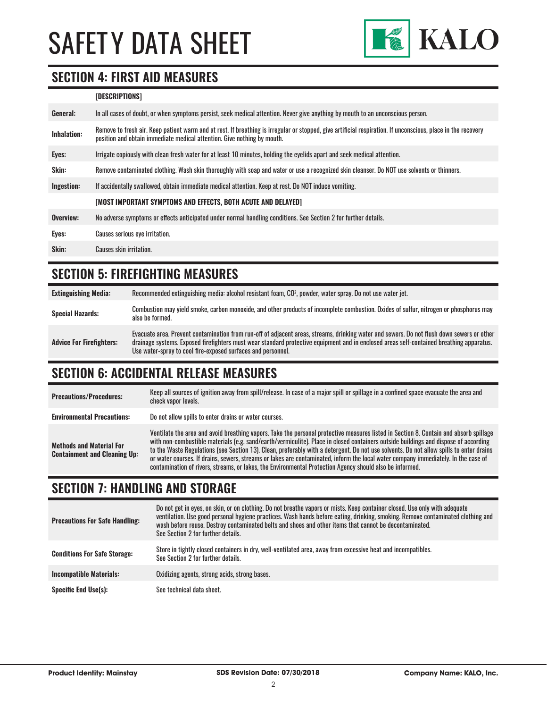

#### **SECTION 4: FIRST AID MEASURES**

#### **[DESCRIPTIONS]**

| Remove to fresh air. Keep patient warm and at rest. If breathing is irregular or stopped, give artificial respiration. If unconscious, place in the recovery<br><b>Inhalation:</b><br>position and obtain immediate medical attention. Give nothing by mouth. |  |
|---------------------------------------------------------------------------------------------------------------------------------------------------------------------------------------------------------------------------------------------------------------|--|
| Irrigate copiously with clean fresh water for at least 10 minutes, holding the eyelids apart and seek medical attention.<br>Eyes:                                                                                                                             |  |
| <b>Skin:</b><br>Remove contaminated clothing. Wash skin thoroughly with soap and water or use a recognized skin cleanser. Do NOT use solvents or thinners.                                                                                                    |  |
| Ingestion:<br>If accidentally swallowed, obtain immediate medical attention. Keep at rest. Do NOT induce vomiting.                                                                                                                                            |  |
| [MOST IMPORTANT SYMPTOMS AND EFFECTS, BOTH ACUTE AND DELAYED]                                                                                                                                                                                                 |  |
| Overview:<br>No adverse symptoms or effects anticipated under normal handling conditions. See Section 2 for further details.                                                                                                                                  |  |
| Eyes:<br>Causes serious eye irritation.                                                                                                                                                                                                                       |  |
| Skin:<br>Causes skin irritation.                                                                                                                                                                                                                              |  |

### **SECTION 5: FIREFIGHTING MEASURES**

| <b>Extinguishing Media:</b>     | Recommended extinguishing media: alcohol resistant foam, CO <sup>2</sup> , powder, water spray. Do not use water jet.                                                                                                                                                                                                                                  |
|---------------------------------|--------------------------------------------------------------------------------------------------------------------------------------------------------------------------------------------------------------------------------------------------------------------------------------------------------------------------------------------------------|
| <b>Special Hazards:</b>         | Combustion may yield smoke, carbon monoxide, and other products of incomplete combustion. Oxides of sulfur, nitrogen or phosphorus may<br>also be formed.                                                                                                                                                                                              |
| <b>Advice For Firefighters:</b> | Evacuate area. Prevent contamination from run-off of adjacent areas, streams, drinking water and sewers. Do not flush down sewers or other<br>drainage systems. Exposed firefighters must wear standard protective equipment and in enclosed areas self-contained breathing apparatus.<br>Use water-spray to cool fire-exposed surfaces and personnel. |

#### **SECTION 6: ACCIDENTAL RELEASE MEASURES**

| <b>Precautions/Procedures:</b>                                         | Keep all sources of ignition away from spill/release. In case of a major spill or spillage in a confined space evacuate the area and<br>check vapor levels.                                                                                                                                                                                                                                                                                                                                                                                                                                                                                                               |
|------------------------------------------------------------------------|---------------------------------------------------------------------------------------------------------------------------------------------------------------------------------------------------------------------------------------------------------------------------------------------------------------------------------------------------------------------------------------------------------------------------------------------------------------------------------------------------------------------------------------------------------------------------------------------------------------------------------------------------------------------------|
| <b>Environmental Precautions:</b>                                      | Do not allow spills to enter drains or water courses.                                                                                                                                                                                                                                                                                                                                                                                                                                                                                                                                                                                                                     |
| <b>Methods and Material For</b><br><b>Containment and Cleaning Up:</b> | Ventilate the area and avoid breathing vapors. Take the personal protective measures listed in Section 8. Contain and absorb spillage<br>with non-combustible materials (e.g. sand/earth/vermiculite). Place in closed containers outside buildings and dispose of according<br>to the Waste Regulations (see Section 13). Clean, preferably with a detergent. Do not use solvents. Do not allow spills to enter drains<br>or water courses. If drains, sewers, streams or lakes are contaminated, inform the local water company immediately. In the case of<br>contamination of rivers, streams, or lakes, the Environmental Protection Agency should also be informed. |

### **SECTION 7: HANDLING AND STORAGE**

| <b>Precautions For Safe Handling:</b> | Do not get in eyes, on skin, or on clothing. Do not breathe vapors or mists. Keep container closed. Use only with adequate<br>ventilation. Use good personal hygiene practices. Wash hands before eating, drinking, smoking. Remove contaminated clothing and<br>wash before reuse. Destroy contaminated belts and shoes and other items that cannot be decontaminated.<br>See Section 2 for further details. |
|---------------------------------------|---------------------------------------------------------------------------------------------------------------------------------------------------------------------------------------------------------------------------------------------------------------------------------------------------------------------------------------------------------------------------------------------------------------|
| <b>Conditions For Safe Storage:</b>   | Store in tightly closed containers in dry, well-ventilated area, away from excessive heat and incompatibles.<br>See Section 2 for further details.                                                                                                                                                                                                                                                            |
| <b>Incompatible Materials:</b>        | Oxidizing agents, strong acids, strong bases.                                                                                                                                                                                                                                                                                                                                                                 |
| <b>Specific End Use(s):</b>           | See technical data sheet.                                                                                                                                                                                                                                                                                                                                                                                     |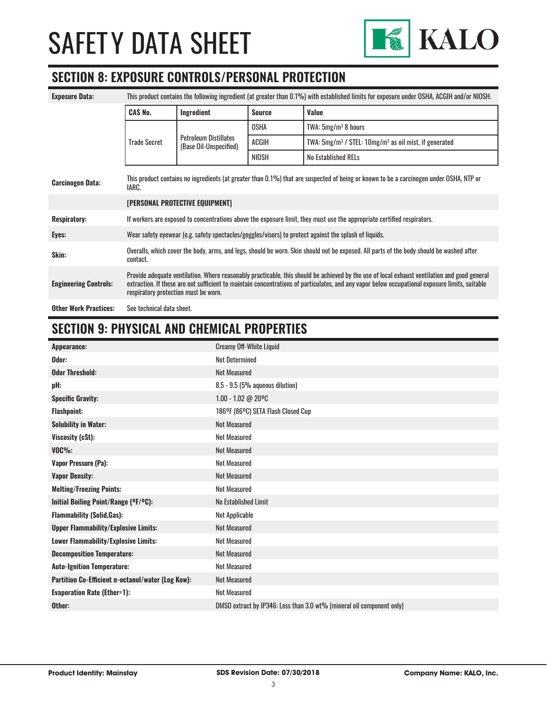

#### **SECTION 8: EXPOSURE CONTROLS/PERSONAL PROTECTION**

| <b>Exposure Data:</b>        | This product contains the following ingredient (at greater than 0.1%) with established limits for exposure under OSHA, ACGIH and/or NIOSH.                                                                                                                                                                                             |                                                        |               |                                                             |
|------------------------------|----------------------------------------------------------------------------------------------------------------------------------------------------------------------------------------------------------------------------------------------------------------------------------------------------------------------------------------|--------------------------------------------------------|---------------|-------------------------------------------------------------|
|                              | <b>CAS No.</b>                                                                                                                                                                                                                                                                                                                         | Ingredient                                             | <b>Source</b> | Value                                                       |
|                              |                                                                                                                                                                                                                                                                                                                                        |                                                        | <b>OSHA</b>   | TWA: $5mg/m^3$ 8 hours                                      |
|                              | <b>Trade Secret</b>                                                                                                                                                                                                                                                                                                                    | <b>Petroleum Distillates</b><br>(Base Oil-Unspecified) | ACGIH         | TWA: $5mg/m^3$ / STEL: $10mg/m^3$ as oil mist, if generated |
|                              |                                                                                                                                                                                                                                                                                                                                        |                                                        | <b>NIOSH</b>  | <b>No Established RELs</b>                                  |
| <b>Carcinogen Data:</b>      | This product contains no ingredients (at greater than 0.1%) that are suspected of being or known to be a carcinogen under OSHA, NTP or<br>IARC.                                                                                                                                                                                        |                                                        |               |                                                             |
|                              | [PERSONAL PROTECTIVE EQUIPMENT]                                                                                                                                                                                                                                                                                                        |                                                        |               |                                                             |
| <b>Respiratory:</b>          | If workers are exposed to concentrations above the exposure limit, they must use the appropriate certified respirators.                                                                                                                                                                                                                |                                                        |               |                                                             |
| Eyes:                        | Wear safety eyewear (e.g. safety spectacles/goggles/visors) to protect against the splash of liquids.                                                                                                                                                                                                                                  |                                                        |               |                                                             |
| Skin:                        | Overalls, which cover the body, arms, and legs, should be worn. Skin should not be exposed. All parts of the body should be washed after<br>contact.                                                                                                                                                                                   |                                                        |               |                                                             |
| <b>Engineering Controls:</b> | Provide adequate ventilation. Where reasonably practicable, this should be achieved by the use of local exhaust ventilation and good general<br>extraction. If these are not sufficient to maintain concentrations of particulates, and any vapor below occupational exposure limits, suitable<br>respiratory protection must be worn. |                                                        |               |                                                             |
| <b>Other Work Practices:</b> | See technical data sheet.                                                                                                                                                                                                                                                                                                              |                                                        |               |                                                             |

# **SECTION 9: PHYSICAL AND CHEMICAL PROPERTIES**

| Appearance:                                       | <b>Creamy Off-White Liquid</b>                                        |
|---------------------------------------------------|-----------------------------------------------------------------------|
| Odor:                                             | <b>Not Determined</b>                                                 |
| <b>Odor Threshold:</b>                            | <b>Not Measured</b>                                                   |
| pH:                                               | 8.5 - 9.5 (5% aqueous dilution)                                       |
| <b>Specific Gravity:</b>                          | 1.00 - 1.02 @ 20°C                                                    |
| <b>Flashpoint:</b>                                | 186ºF (86ºC) SETA Flash Closed Cup                                    |
| <b>Solubility in Water:</b>                       | <b>Not Measured</b>                                                   |
| Viscosity (cSt):                                  | <b>Not Measured</b>                                                   |
| $VOC\%$ :                                         | <b>Not Measured</b>                                                   |
| Vapor Pressure (Pa):                              | <b>Not Measured</b>                                                   |
| <b>Vapor Density:</b>                             | <b>Not Measured</b>                                                   |
| <b>Melting/Freezing Points:</b>                   | <b>Not Measured</b>                                                   |
| Initial Boiling Point/Range (°F/°C):              | No Established Limit                                                  |
| <b>Flammability (Solid, Gas):</b>                 | Not Applicable                                                        |
| <b>Upper Flammability/Explosive Limits:</b>       | <b>Not Measured</b>                                                   |
| Lower Flammability/Explosive Limits:              | <b>Not Measured</b>                                                   |
| <b>Decomposition Temperature:</b>                 | <b>Not Measured</b>                                                   |
| <b>Auto-Ignition Temperature:</b>                 | <b>Not Measured</b>                                                   |
| Partition Co-Efficient n-octanol/water (Log Kow): | <b>Not Measured</b>                                                   |
| <b>Evaporation Rate (Ether=1):</b>                | <b>Not Measured</b>                                                   |
| Other:                                            | DMSO extract by IP346: Less than 3.0 wt% (mineral oil component only) |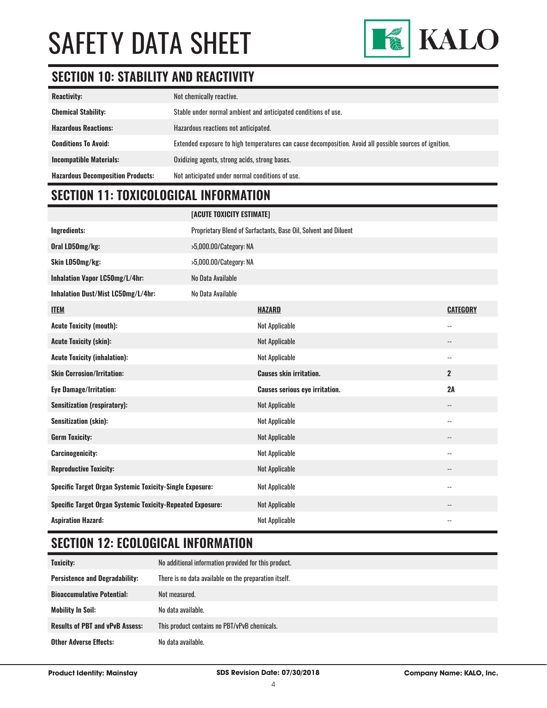

# **SECTION 10: STABILITY AND REACTIVITY**

| <b>Reactivity:</b>                       | Not chemically reactive.                                                                                |
|------------------------------------------|---------------------------------------------------------------------------------------------------------|
| <b>Chemical Stability:</b>               | Stable under normal ambient and anticipated conditions of use.                                          |
| <b>Hazardous Reactions:</b>              | Hazardous reactions not anticipated.                                                                    |
| <b>Conditions To Avoid:</b>              | Extended exposure to high temperatures can cause decomposition. Avoid all possible sources of ignition. |
| <b>Incompatible Materials:</b>           | Oxidizing agents, strong acids, strong bases.                                                           |
| <b>Hazardous Decomposition Products:</b> | Not anticipated under normal conditions of use.                                                         |

# **SECTION 11: TOXICOLOGICAL INFORMATION**

|                                                                   | [ACUTE TOXICITY ESTIMATE] |                                                                 |                            |
|-------------------------------------------------------------------|---------------------------|-----------------------------------------------------------------|----------------------------|
| Ingredients:                                                      |                           | Proprietary Blend of Surfactants, Base Oil, Solvent and Diluent |                            |
| Oral LD50mg/kg:                                                   | >5,000.00/Category: NA    |                                                                 |                            |
| Skin LD50mg/kg:                                                   | >5,000.00/Category: NA    |                                                                 |                            |
| Inhalation Vapor LC50mg/L/4hr:                                    | No Data Available         |                                                                 |                            |
| Inhalation Dust/Mist LC50mg/L/4hr:                                | No Data Available         |                                                                 |                            |
| <b>ITEM</b>                                                       |                           | <b>HAZARD</b>                                                   | <b>CATEGORY</b>            |
| <b>Acute Toxicity (mouth):</b>                                    |                           | <b>Not Applicable</b>                                           | $-$                        |
| <b>Acute Toxicity (skin):</b>                                     |                           | Not Applicable                                                  | --                         |
| <b>Acute Toxicity (inhalation):</b>                               |                           | Not Applicable                                                  | $\overline{\phantom{a}}$   |
| <b>Skin Corrosion/Irritation:</b>                                 |                           | <b>Causes skin irritation.</b>                                  | $\mathbf{2}$               |
| <b>Eye Damage/Irritation:</b>                                     |                           | <b>Causes serious eye irritation.</b>                           | 2A                         |
| <b>Sensitization (respiratory):</b>                               |                           | Not Applicable                                                  | $\overline{\phantom{a}}$   |
| <b>Sensitization (skin):</b>                                      |                           | <b>Not Applicable</b>                                           | $\overline{a}$             |
| <b>Germ Toxicity:</b>                                             |                           | <b>Not Applicable</b>                                           | $\qquad \qquad -$          |
| <b>Carcinogenicity:</b>                                           |                           | <b>Not Applicable</b>                                           | $\overline{\phantom{a}}$   |
| <b>Reproductive Toxicity:</b>                                     |                           | Not Applicable                                                  | --                         |
| Specific Target Organ Systemic Toxicity-Single Exposure:          |                           | <b>Not Applicable</b>                                           | $\overline{\phantom{a}}$   |
| <b>Specific Target Organ Systemic Toxicity-Repeated Exposure:</b> |                           | Not Applicable                                                  | $\overline{\phantom{a}}$ . |
| <b>Aspiration Hazard:</b>                                         |                           | <b>Not Applicable</b>                                           | $\qquad \qquad -$          |

# **SECTION 12: ECOLOGICAL INFORMATION**

| <b>Toxicity:</b>                       | No additional information provided for this product.  |
|----------------------------------------|-------------------------------------------------------|
| <b>Persistence and Degradability:</b>  | There is no data available on the preparation itself. |
| <b>Bioaccumulative Potential:</b>      | Not measured.                                         |
| <b>Mobility In Soil:</b>               | No data available.                                    |
| <b>Results of PBT and vPvB Assess:</b> | This product contains no PBT/vPvB chemicals.          |
| <b>Other Adverse Effects:</b>          | No data available.                                    |